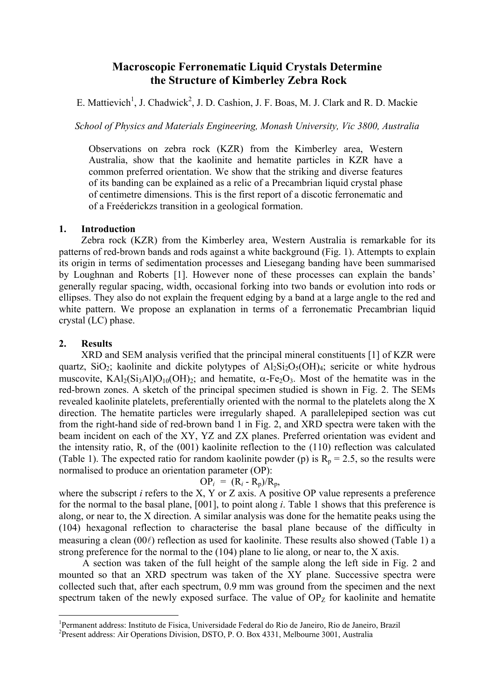# **Macroscopic Ferronematic Liquid Crystals Determine the Structure of Kimberley Zebra Rock**

E. Mattievich<sup>[1](#page-0-0)</sup>, J. Chadwick<sup>[2](#page-0-1)</sup>, J. D. Cashion, J. F. Boas, M. J. Clark and R. D. Mackie

*School of Physics and Materials Engineering, Monash University, Vic 3800, Australia* 

Observations on zebra rock (KZR) from the Kimberley area, Western Australia, show that the kaolinite and hematite particles in KZR have a common preferred orientation. We show that the striking and diverse features of its banding can be explained as a relic of a Precambrian liquid crystal phase of centimetre dimensions. This is the first report of a discotic ferronematic and of a Freéderickzs transition in a geological formation.

### **1. Introduction**

Zebra rock (KZR) from the Kimberley area, Western Australia is remarkable for its patterns of red-brown bands and rods against a white background (Fig. 1). Attempts to explain its origin in terms of sedimentation processes and Liesegang banding have been summarised by Loughnan and Roberts [1]. However none of these processes can explain the bands' generally regular spacing, width, occasional forking into two bands or evolution into rods or ellipses. They also do not explain the frequent edging by a band at a large angle to the red and white pattern. We propose an explanation in terms of a ferronematic Precambrian liquid crystal (LC) phase.

# **2. Results**

 $\overline{a}$ 

XRD and SEM analysis verified that the principal mineral constituents [1] of KZR were quartz,  $SiO_2$ ; kaolinite and dickite polytypes of  $Al_2Si_2O_5(OH)_4$ ; sericite or white hydrous muscovite,  $KAI<sub>2</sub>(Si<sub>3</sub>AIO<sub>010</sub>(OH)<sub>2</sub>$ ; and hematite,  $\alpha$ -Fe<sub>2</sub>O<sub>3</sub>. Most of the hematite was in the red-brown zones. A sketch of the principal specimen studied is shown in Fig. 2. The SEMs revealed kaolinite platelets, preferentially oriented with the normal to the platelets along the X direction. The hematite particles were irregularly shaped. A parallelepiped section was cut from the right-hand side of red-brown band 1 in Fig. 2, and XRD spectra were taken with the beam incident on each of the XY, YZ and ZX planes. Preferred orientation was evident and the intensity ratio, R, of the (001) kaolinite reflection to the (110) reflection was calculated (Table 1). The expected ratio for random kaolinite powder (p) is  $R_p = 2.5$ , so the results were normalised to produce an orientation parameter (OP):

$$
OP_i = (R_i - R_p)/R_p,
$$

where the subscript *i* refers to the X, Y or Z axis. A positive OP value represents a preference for the normal to the basal plane, [001], to point along *i*. Table 1 shows that this preference is along, or near to, the X direction. A similar analysis was done for the hematite peaks using the (104) hexagonal reflection to characterise the basal plane because of the difficulty in measuring a clean  $(00\ell)$  reflection as used for kaolinite. These results also showed (Table 1) a strong preference for the normal to the (104) plane to lie along, or near to, the X axis.

A section was taken of the full height of the sample along the left side in Fig. 2 and mounted so that an XRD spectrum was taken of the XY plane. Successive spectra were collected such that, after each spectrum, 0.9 mm was ground from the specimen and the next spectrum taken of the newly exposed surface. The value of  $OP<sub>Z</sub>$  for kaolinite and hematite

<span id="page-0-0"></span><sup>&</sup>lt;sup>1</sup> Permanent address: Instituto de Fisica, Universidade Federal do Rio de Janeiro, Rio de Janeiro, Brazil<br><sup>2</sup> Present address: Air Operations Division, DSTO, B.O. Box 4221, Melbourne 2001, Australie

<span id="page-0-1"></span>Present address: Air Operations Division, DSTO, P. O. Box 4331, Melbourne 3001, Australia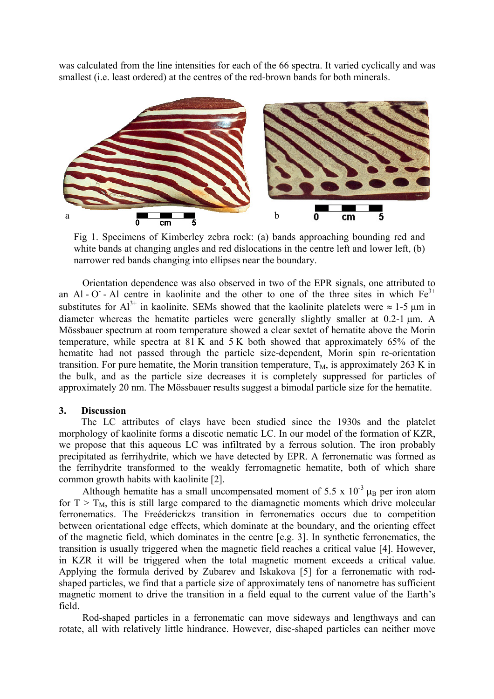was calculated from the line intensities for each of the 66 spectra. It varied cyclically and was smallest (i.e. least ordered) at the centres of the red-brown bands for both minerals.



Fig 1. Specimens of Kimberley zebra rock: (a) bands approaching bounding red and white bands at changing angles and red dislocations in the centre left and lower left, (b) narrower red bands changing into ellipses near the boundary.

Orientation dependence was also observed in two of the EPR signals, one attributed to an Al - O - Al centre in kaolinite and the other to one of the three sites in which  $Fe<sup>3+</sup>$ substitutes for  $Al^{3+}$  in kaolinite. SEMs showed that the kaolinite platelets were  $\approx 1$ -5  $\mu$ m in diameter whereas the hematite particles were generally slightly smaller at 0.2-1  $\mu$ m. A Mössbauer spectrum at room temperature showed a clear sextet of hematite above the Morin temperature, while spectra at 81 K and 5 K both showed that approximately 65% of the hematite had not passed through the particle size-dependent, Morin spin re-orientation transition. For pure hematite, the Morin transition temperature,  $T_M$ , is approximately 263 K in the bulk, and as the particle size decreases it is completely suppressed for particles of approximately 20 nm. The Mössbauer results suggest a bimodal particle size for the hematite.

# **3. Discussion**

The LC attributes of clays have been studied since the 1930s and the platelet morphology of kaolinite forms a discotic nematic LC. In our model of the formation of KZR, we propose that this aqueous LC was infiltrated by a ferrous solution. The iron probably precipitated as ferrihydrite, which we have detected by EPR. A ferronematic was formed as the ferrihydrite transformed to the weakly ferromagnetic hematite, both of which share common growth habits with kaolinite [2].

Although hematite has a small uncompensated moment of 5.5 x  $10^{-3}$   $\mu_B$  per iron atom for  $T > T_M$ , this is still large compared to the diamagnetic moments which drive molecular ferronematics. The Freéderickzs transition in ferronematics occurs due to competition between orientational edge effects, which dominate at the boundary, and the orienting effect of the magnetic field, which dominates in the centre [e.g. 3]. In synthetic ferronematics, the transition is usually triggered when the magnetic field reaches a critical value [4]. However, in KZR it will be triggered when the total magnetic moment exceeds a critical value. Applying the formula derived by Zubarev and Iskakova [5] for a ferronematic with rodshaped particles, we find that a particle size of approximately tens of nanometre has sufficient magnetic moment to drive the transition in a field equal to the current value of the Earth's field.

Rod-shaped particles in a ferronematic can move sideways and lengthways and can rotate, all with relatively little hindrance. However, disc-shaped particles can neither move